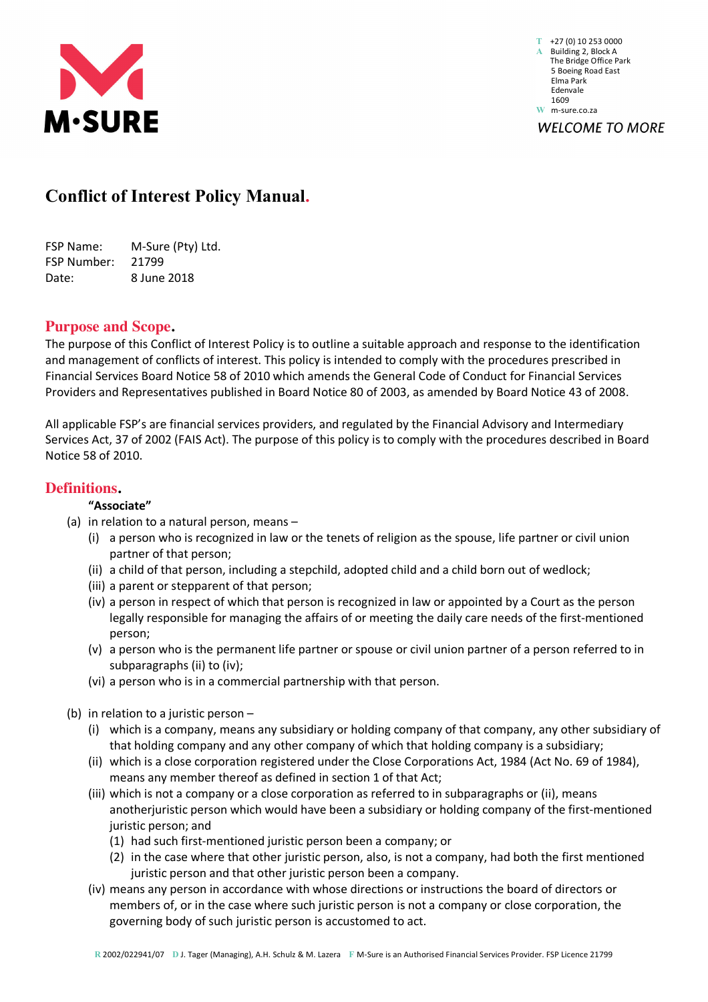

**T** +27 (0) 10 253 0000 **A** Building 2, Block A The Bridge Office Park 5 Boeing Road East Elma Park Edenvale 1609 **W** m-sure.co.za **WELCOME TO MORE** 

# **Conflict of Interest Policy Manual.**

| <b>FSP Name:</b>   | M-Sure (Pty) Ltd. |
|--------------------|-------------------|
| <b>FSP Number:</b> | 21799             |
| Date:              | 8 June 2018       |

# **Purpose and Scope.**

The purpose of this Conflict of Interest Policy is to outline a suitable approach and response to the identification and management of conflicts of interest. This policy is intended to comply with the procedures prescribed in Financial Services Board Notice 58 of 2010 which amends the General Code of Conduct for Financial Services Providers and Representatives published in Board Notice 80 of 2003, as amended by Board Notice 43 of 2008.

All applicable FSP's are financial services providers, and regulated by the Financial Advisory and Intermediary Services Act, 37 of 2002 (FAIS Act). The purpose of this policy is to comply with the procedures described in Board Notice 58 of 2010.

# **Definitions.**

# **"Associate"**

- (a) in relation to a natural person, means
	- (i) a person who is recognized in law or the tenets of religion as the spouse, life partner or civil union partner of that person;
	- (ii) a child of that person, including a stepchild, adopted child and a child born out of wedlock;
	- (iii) a parent or stepparent of that person;
	- (iv) a person in respect of which that person is recognized in law or appointed by a Court as the person legally responsible for managing the affairs of or meeting the daily care needs of the first-mentioned person;
	- (v) a person who is the permanent life partner or spouse or civil union partner of a person referred to in subparagraphs (ii) to (iv);
	- (vi) a person who is in a commercial partnership with that person.
- (b) in relation to a juristic person
	- (i) which is a company, means any subsidiary or holding company of that company, any other subsidiary of that holding company and any other company of which that holding company is a subsidiary;
	- (ii) which is a close corporation registered under the Close Corporations Act, 1984 (Act No. 69 of 1984), means any member thereof as defined in section 1 of that Act;
	- (iii) which is not a company or a close corporation as referred to in subparagraphs or (ii), means anotherjuristic person which would have been a subsidiary or holding company of the first-mentioned juristic person; and
		- (1) had such first-mentioned juristic person been a company; or
		- (2) in the case where that other juristic person, also, is not a company, had both the first mentioned juristic person and that other juristic person been a company.
	- (iv) means any person in accordance with whose directions or instructions the board of directors or members of, or in the case where such juristic person is not a company or close corporation, the governing body of such juristic person is accustomed to act.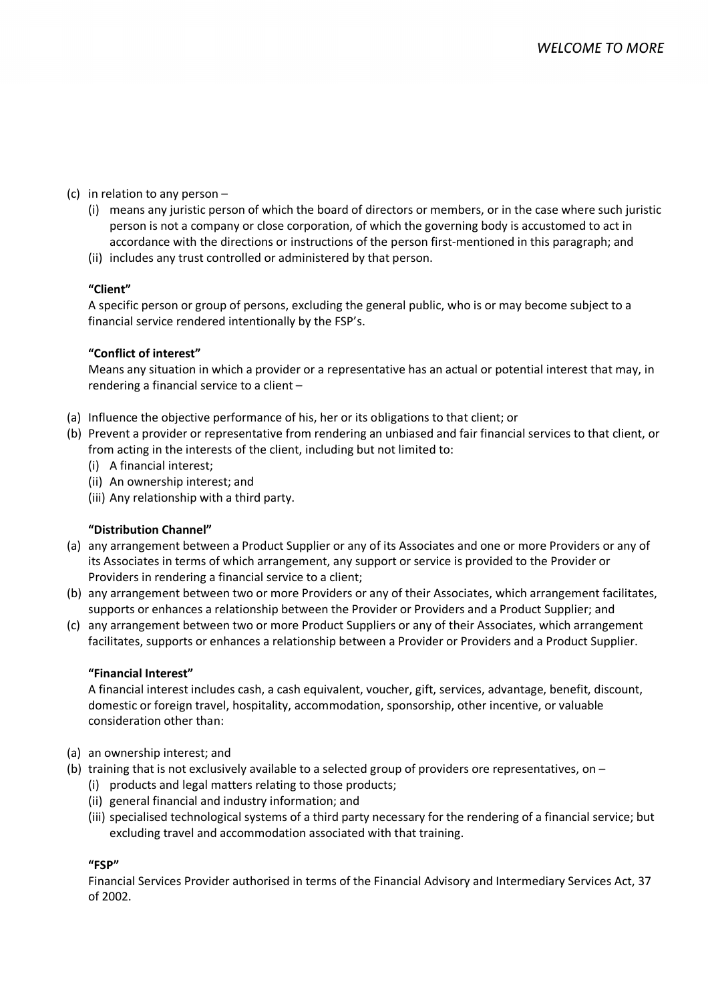- (c) in relation to any person
	- (i) means any juristic person of which the board of directors or members, or in the case where such juristic person is not a company or close corporation, of which the governing body is accustomed to act in accordance with the directions or instructions of the person first-mentioned in this paragraph; and
	- (ii) includes any trust controlled or administered by that person.

### **"Client"**

A specific person or group of persons, excluding the general public, who is or may become subject to a financial service rendered intentionally by the FSP's.

### **"Conflict of interest"**

Means any situation in which a provider or a representative has an actual or potential interest that may, in rendering a financial service to a client –

- (a) Influence the objective performance of his, her or its obligations to that client; or
- (b) Prevent a provider or representative from rendering an unbiased and fair financial services to that client, or from acting in the interests of the client, including but not limited to:
	- (i) A financial interest;
	- (ii) An ownership interest; and
	- (iii) Any relationship with a third party.

# **"Distribution Channel"**

- (a) any arrangement between a Product Supplier or any of its Associates and one or more Providers or any of its Associates in terms of which arrangement, any support or service is provided to the Provider or Providers in rendering a financial service to a client;
- (b) any arrangement between two or more Providers or any of their Associates, which arrangement facilitates, supports or enhances a relationship between the Provider or Providers and a Product Supplier; and
- (c) any arrangement between two or more Product Suppliers or any of their Associates, which arrangement facilitates, supports or enhances a relationship between a Provider or Providers and a Product Supplier.

#### **"Financial Interest"**

A financial interest includes cash, a cash equivalent, voucher, gift, services, advantage, benefit, discount, domestic or foreign travel, hospitality, accommodation, sponsorship, other incentive, or valuable consideration other than:

- (a) an ownership interest; and
- (b) training that is not exclusively available to a selected group of providers ore representatives, on
	- (i) products and legal matters relating to those products;
	- (ii) general financial and industry information; and
	- (iii) specialised technological systems of a third party necessary for the rendering of a financial service; but excluding travel and accommodation associated with that training.

#### **"FSP"**

Financial Services Provider authorised in terms of the Financial Advisory and Intermediary Services Act, 37 of 2002.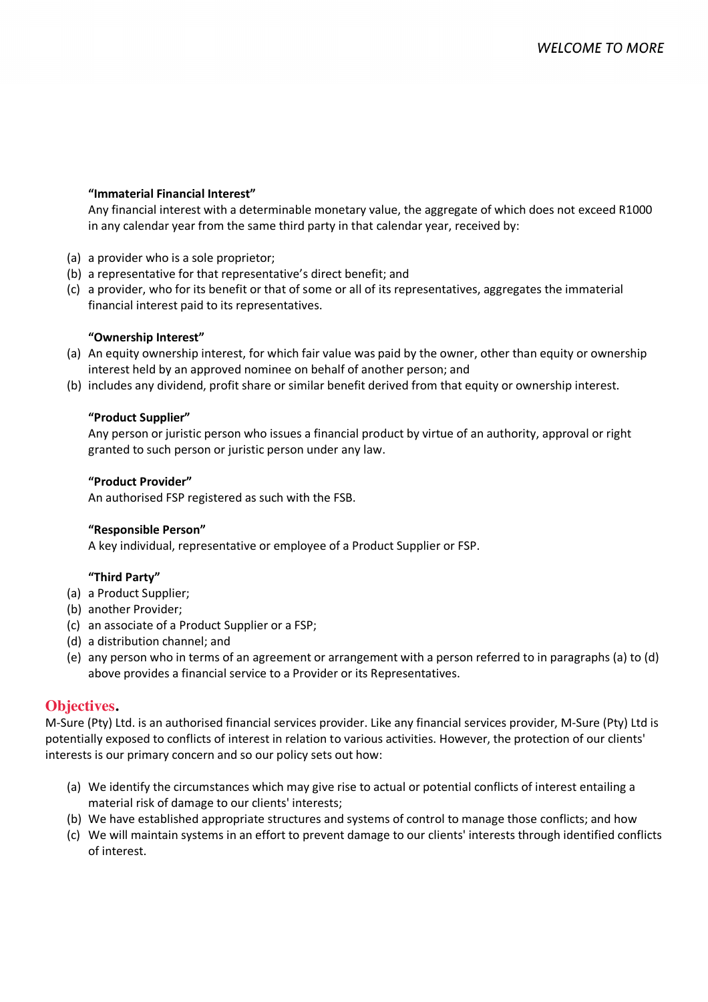#### **"Immaterial Financial Interest"**

Any financial interest with a determinable monetary value, the aggregate of which does not exceed R1000 in any calendar year from the same third party in that calendar year, received by:

- (a) a provider who is a sole proprietor;
- (b) a representative for that representative's direct benefit; and
- (c) a provider, who for its benefit or that of some or all of its representatives, aggregates the immaterial financial interest paid to its representatives.

#### **"Ownership Interest"**

- (a) An equity ownership interest, for which fair value was paid by the owner, other than equity or ownership interest held by an approved nominee on behalf of another person; and
- (b) includes any dividend, profit share or similar benefit derived from that equity or ownership interest.

#### **"Product Supplier"**

Any person or juristic person who issues a financial product by virtue of an authority, approval or right granted to such person or juristic person under any law.

#### **"Product Provider"**

An authorised FSP registered as such with the FSB.

#### **"Responsible Person"**

A key individual, representative or employee of a Product Supplier or FSP.

# **"Third Party"**

- (a) a Product Supplier;
- (b) another Provider;
- (c) an associate of a Product Supplier or a FSP;
- (d) a distribution channel; and
- (e) any person who in terms of an agreement or arrangement with a person referred to in paragraphs (a) to (d) above provides a financial service to a Provider or its Representatives.

# **Objectives.**

M-Sure (Pty) Ltd. is an authorised financial services provider. Like any financial services provider, M-Sure (Pty) Ltd is potentially exposed to conflicts of interest in relation to various activities. However, the protection of our clients' interests is our primary concern and so our policy sets out how:

- (a) We identify the circumstances which may give rise to actual or potential conflicts of interest entailing a material risk of damage to our clients' interests;
- (b) We have established appropriate structures and systems of control to manage those conflicts; and how
- (c) We will maintain systems in an effort to prevent damage to our clients' interests through identified conflicts of interest.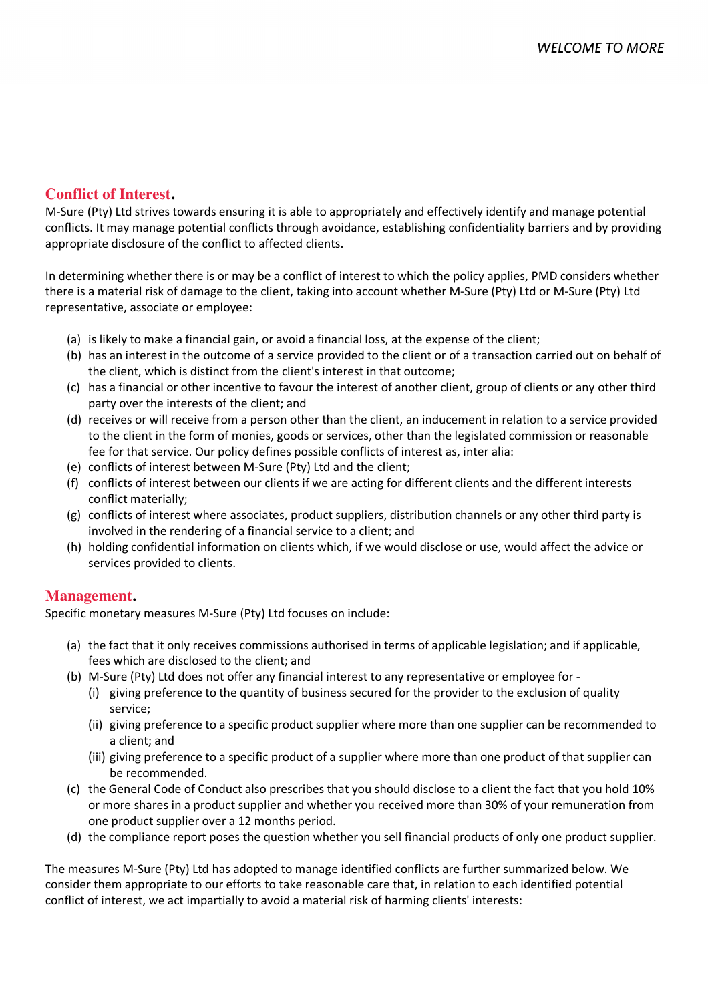# **Conflict of Interest.**

M-Sure (Pty) Ltd strives towards ensuring it is able to appropriately and effectively identify and manage potential conflicts. It may manage potential conflicts through avoidance, establishing confidentiality barriers and by providing appropriate disclosure of the conflict to affected clients.

In determining whether there is or may be a conflict of interest to which the policy applies, PMD considers whether there is a material risk of damage to the client, taking into account whether M-Sure (Pty) Ltd or M-Sure (Pty) Ltd representative, associate or employee:

- (a) is likely to make a financial gain, or avoid a financial loss, at the expense of the client;
- (b) has an interest in the outcome of a service provided to the client or of a transaction carried out on behalf of the client, which is distinct from the client's interest in that outcome;
- (c) has a financial or other incentive to favour the interest of another client, group of clients or any other third party over the interests of the client; and
- (d) receives or will receive from a person other than the client, an inducement in relation to a service provided to the client in the form of monies, goods or services, other than the legislated commission or reasonable fee for that service. Our policy defines possible conflicts of interest as, inter alia:
- (e) conflicts of interest between M-Sure (Pty) Ltd and the client;
- (f) conflicts of interest between our clients if we are acting for different clients and the different interests conflict materially;
- (g) conflicts of interest where associates, product suppliers, distribution channels or any other third party is involved in the rendering of a financial service to a client; and
- (h) holding confidential information on clients which, if we would disclose or use, would affect the advice or services provided to clients.

# **Management.**

Specific monetary measures M-Sure (Pty) Ltd focuses on include:

- (a) the fact that it only receives commissions authorised in terms of applicable legislation; and if applicable, fees which are disclosed to the client; and
- (b) M-Sure (Pty) Ltd does not offer any financial interest to any representative or employee for
	- (i) giving preference to the quantity of business secured for the provider to the exclusion of quality service;
	- (ii) giving preference to a specific product supplier where more than one supplier can be recommended to a client; and
	- (iii) giving preference to a specific product of a supplier where more than one product of that supplier can be recommended.
- (c) the General Code of Conduct also prescribes that you should disclose to a client the fact that you hold 10% or more shares in a product supplier and whether you received more than 30% of your remuneration from one product supplier over a 12 months period.
- (d) the compliance report poses the question whether you sell financial products of only one product supplier.

The measures M-Sure (Pty) Ltd has adopted to manage identified conflicts are further summarized below. We consider them appropriate to our efforts to take reasonable care that, in relation to each identified potential conflict of interest, we act impartially to avoid a material risk of harming clients' interests: